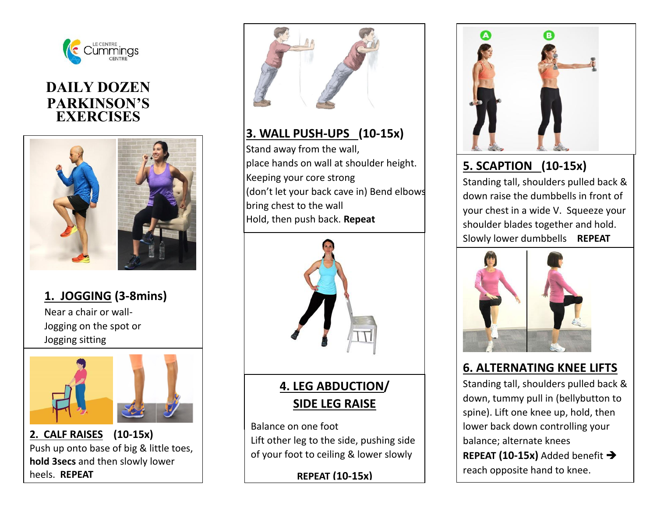

## **DAILY DOZEN PARKINSON'S EXERCISES**



# **1. JOGGING (3-8mins)**

Near a chair or wall-Jogging on the spot or Jogging sitting



**2. CALF RAISES (10-15x)**  Push up onto base of big & little toes, **hold 3secs** and then slowly lower heels. **REPEAT**



## **3. WALL PUSH-UPS (10-15x)**

Stand away from the wall, place hands on wall at shoulder height. Keeping your core strong (don't let your back cave in) Bend elbows bring chest to the wall Hold, then push back. **Repeat**



**4. LEG ABDUCTION/ SIDE LEG RAISE**

Balance on one foot Lift other leg to the side, pushing side of your foot to ceiling & lower slowly

**REPEAT (10-15x)**



# **5. SCAPTION (10-15x)**

Standing tall, shoulders pulled back & down raise the dumbbells in front of your chest in a wide V. Squeeze your shoulder blades together and hold. Slowly lower dumbbells **REPEAT**



### **6. ALTERNATING KNEE LIFTS**

Standing tall, shoulders pulled back & down, tummy pull in (bellybutton to spine). Lift one knee up, hold, then lower back down controlling your balance; alternate knees **REPEAT (10-15x)** Added benefit reach opposite hand to knee.